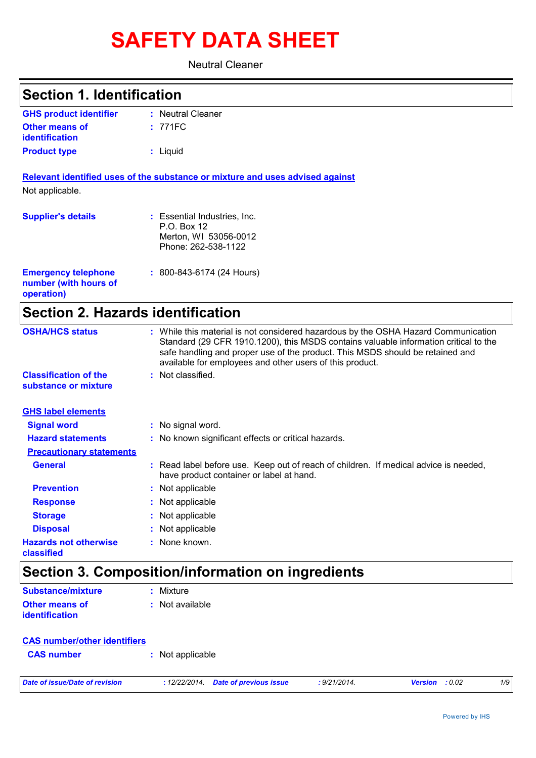# **SAFETY DATA SHEET**

Neutral Cleaner

| <b>Section 1. Identification</b>                                  |                                                                                                                                                                                                                                                                                                                         |
|-------------------------------------------------------------------|-------------------------------------------------------------------------------------------------------------------------------------------------------------------------------------------------------------------------------------------------------------------------------------------------------------------------|
| <b>GHS product identifier</b>                                     | : Neutral Cleaner                                                                                                                                                                                                                                                                                                       |
| <b>Other means of</b><br><b>identification</b>                    | : 771FC                                                                                                                                                                                                                                                                                                                 |
| <b>Product type</b>                                               | : Liquid                                                                                                                                                                                                                                                                                                                |
| Not applicable.                                                   | Relevant identified uses of the substance or mixture and uses advised against                                                                                                                                                                                                                                           |
| <b>Supplier's details</b>                                         | : Essential Industries, Inc.<br>P.O. Box 12<br>Merton, WI 53056-0012<br>Phone: 262-538-1122                                                                                                                                                                                                                             |
| <b>Emergency telephone</b><br>number (with hours of<br>operation) | : 800-843-6174 (24 Hours)                                                                                                                                                                                                                                                                                               |
| <b>Section 2. Hazards identification</b>                          |                                                                                                                                                                                                                                                                                                                         |
| <b>OSHA/HCS status</b>                                            | : While this material is not considered hazardous by the OSHA Hazard Communication<br>Standard (29 CFR 1910.1200), this MSDS contains valuable information critical to the<br>safe handling and proper use of the product. This MSDS should be retained and<br>available for employees and other users of this product. |
| <b>Classification of the</b><br>substance or mixture              | : Not classified.                                                                                                                                                                                                                                                                                                       |
| <b>GHS label elements</b>                                         |                                                                                                                                                                                                                                                                                                                         |
| <b>Signal word</b>                                                | : No signal word.                                                                                                                                                                                                                                                                                                       |
| <b>Hazard statements</b>                                          | : No known significant effects or critical hazards.                                                                                                                                                                                                                                                                     |
| <b>Precautionary statements</b>                                   |                                                                                                                                                                                                                                                                                                                         |
| <b>General</b>                                                    | : Read label before use. Keep out of reach of children. If medical advice is needed,<br>have product container or label at hand.                                                                                                                                                                                        |
| <b>Prevention</b>                                                 | Not applicable                                                                                                                                                                                                                                                                                                          |
| <b>Response</b>                                                   | Not applicable                                                                                                                                                                                                                                                                                                          |
| <b>Storage</b>                                                    | Not applicable                                                                                                                                                                                                                                                                                                          |
| <b>Disposal</b>                                                   | Not applicable                                                                                                                                                                                                                                                                                                          |
| <b>Hazards not otherwise</b><br>classified                        | None known.                                                                                                                                                                                                                                                                                                             |
|                                                                   | Section 3. Composition/information on ingredients                                                                                                                                                                                                                                                                       |
| <b>Substance/mixture</b>                                          | : Mixture                                                                                                                                                                                                                                                                                                               |
| <b>Other means of</b><br>identification                           | : Not available                                                                                                                                                                                                                                                                                                         |
| <b>CAS number/other identifiers</b>                               |                                                                                                                                                                                                                                                                                                                         |

| <b>UAU HUIHUGHULIGI REHUHUGH</b> |                  |
|----------------------------------|------------------|
| <b>CAS number</b>                | : Not applicable |

*Date of issue/Date of revision* **:** *12/22/2014. Date of previous issue : 9/21/2014. Version : 0.02 1/9*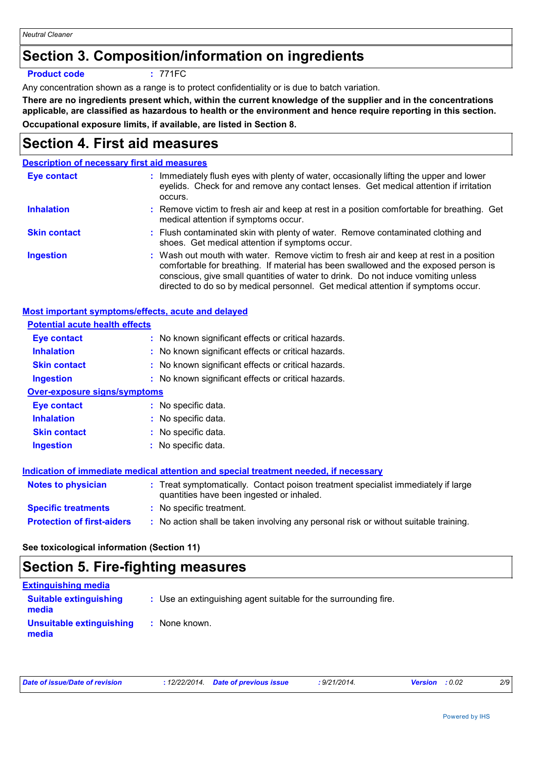# **Section 3. Composition/information on ingredients**

#### **Product code :** 771FC

Any concentration shown as a range is to protect confidentiality or is due to batch variation.

**There are no ingredients present which, within the current knowledge of the supplier and in the concentrations applicable, are classified as hazardous to health or the environment and hence require reporting in this section. Occupational exposure limits, if available, are listed in Section 8.**

### **Section 4. First aid measures**

### **Description of necessary first aid measures**

| Eye contact         | : Immediately flush eyes with plenty of water, occasionally lifting the upper and lower<br>eyelids. Check for and remove any contact lenses. Get medical attention if irritation<br>occurs.                                                                                                                                                            |
|---------------------|--------------------------------------------------------------------------------------------------------------------------------------------------------------------------------------------------------------------------------------------------------------------------------------------------------------------------------------------------------|
| <b>Inhalation</b>   | : Remove victim to fresh air and keep at rest in a position comfortable for breathing. Get<br>medical attention if symptoms occur.                                                                                                                                                                                                                     |
| <b>Skin contact</b> | : Flush contaminated skin with plenty of water. Remove contaminated clothing and<br>shoes. Get medical attention if symptoms occur.                                                                                                                                                                                                                    |
| <b>Ingestion</b>    | : Wash out mouth with water. Remove victim to fresh air and keep at rest in a position<br>comfortable for breathing. If material has been swallowed and the exposed person is<br>conscious, give small quantities of water to drink. Do not induce vomiting unless<br>directed to do so by medical personnel. Get medical attention if symptoms occur. |

| Most important symptoms/effects, acute and delayed |                                                                                                                                |
|----------------------------------------------------|--------------------------------------------------------------------------------------------------------------------------------|
| <b>Potential acute health effects</b>              |                                                                                                                                |
| Eye contact                                        | : No known significant effects or critical hazards.                                                                            |
| <b>Inhalation</b>                                  | : No known significant effects or critical hazards.                                                                            |
| <b>Skin contact</b>                                | : No known significant effects or critical hazards.                                                                            |
| <b>Ingestion</b>                                   | : No known significant effects or critical hazards.                                                                            |
| <b>Over-exposure signs/symptoms</b>                |                                                                                                                                |
| Eye contact                                        | : No specific data.                                                                                                            |
| <b>Inhalation</b>                                  | : No specific data.                                                                                                            |
| <b>Skin contact</b>                                | : No specific data.                                                                                                            |
| <b>Ingestion</b>                                   | : No specific data.                                                                                                            |
|                                                    | Indication of immediate medical attention and special treatment needed, if necessary                                           |
| <b>Notes to physician</b>                          | : Treat symptomatically. Contact poison treatment specialist immediately if large<br>quantities have been ingested or inhaled. |
| <b>Specific treatments</b>                         | : No specific treatment.                                                                                                       |
| <b>Protection of first-aiders</b>                  | : No action shall be taken involving any personal risk or without suitable training.                                           |

### **See toxicological information (Section 11)**

### **Section 5. Fire-fighting measures**

| <b>Extinguishing media</b>             |                                                                 |
|----------------------------------------|-----------------------------------------------------------------|
| <b>Suitable extinguishing</b><br>media | : Use an extinguishing agent suitable for the surrounding fire. |
| Unsuitable extinguishing<br>media      | : None known.                                                   |

| Date of issue/Date of revision | : 12/22/2014. Date of previous issue | : 9/21/2014. | <b>Version</b> : 0.02 | 2/9 |
|--------------------------------|--------------------------------------|--------------|-----------------------|-----|
|                                |                                      |              |                       |     |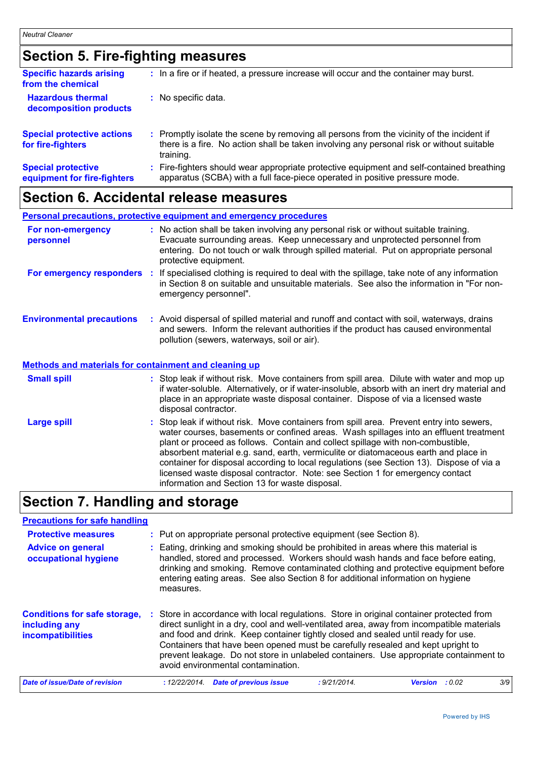# **Section 5. Fire-fighting measures**

| <b>Specific hazards arising</b><br>from the chemical     | : In a fire or if heated, a pressure increase will occur and the container may burst.                                                                                                               |
|----------------------------------------------------------|-----------------------------------------------------------------------------------------------------------------------------------------------------------------------------------------------------|
| <b>Hazardous thermal</b><br>decomposition products       | : No specific data.                                                                                                                                                                                 |
| <b>Special protective actions</b><br>for fire-fighters   | : Promptly isolate the scene by removing all persons from the vicinity of the incident if<br>there is a fire. No action shall be taken involving any personal risk or without suitable<br>training. |
| <b>Special protective</b><br>equipment for fire-fighters | Fire-fighters should wear appropriate protective equipment and self-contained breathing<br>apparatus (SCBA) with a full face-piece operated in positive pressure mode.                              |

# **Section 6. Accidental release measures**

| <b>Personal precautions, protective equipment and emergency procedures</b>                       |                       |                                                                                                                                                                                                                                                                                                                                                                                                                                                                                                                                          |
|--------------------------------------------------------------------------------------------------|-----------------------|------------------------------------------------------------------------------------------------------------------------------------------------------------------------------------------------------------------------------------------------------------------------------------------------------------------------------------------------------------------------------------------------------------------------------------------------------------------------------------------------------------------------------------------|
| For non-emergency<br>personnel                                                                   | protective equipment. | : No action shall be taken involving any personal risk or without suitable training.<br>Evacuate surrounding areas. Keep unnecessary and unprotected personnel from<br>entering. Do not touch or walk through spilled material. Put on appropriate personal                                                                                                                                                                                                                                                                              |
| For emergency responders                                                                         | emergency personnel". | : If specialised clothing is required to deal with the spillage, take note of any information<br>in Section 8 on suitable and unsuitable materials. See also the information in "For non-                                                                                                                                                                                                                                                                                                                                                |
| <b>Environmental precautions</b><br><b>Methods and materials for containment and cleaning up</b> |                       | : Avoid dispersal of spilled material and runoff and contact with soil, waterways, drains<br>and sewers. Inform the relevant authorities if the product has caused environmental<br>pollution (sewers, waterways, soil or air).                                                                                                                                                                                                                                                                                                          |
|                                                                                                  |                       |                                                                                                                                                                                                                                                                                                                                                                                                                                                                                                                                          |
| <b>Small spill</b>                                                                               | disposal contractor.  | : Stop leak if without risk. Move containers from spill area. Dilute with water and mop up<br>if water-soluble. Alternatively, or if water-insoluble, absorb with an inert dry material and<br>place in an appropriate waste disposal container. Dispose of via a licensed waste                                                                                                                                                                                                                                                         |
| <b>Large spill</b>                                                                               |                       | : Stop leak if without risk. Move containers from spill area. Prevent entry into sewers,<br>water courses, basements or confined areas. Wash spillages into an effluent treatment<br>plant or proceed as follows. Contain and collect spillage with non-combustible,<br>absorbent material e.g. sand, earth, vermiculite or diatomaceous earth and place in<br>container for disposal according to local regulations (see Section 13). Dispose of via a<br>licensed waste disposal contractor. Note: see Section 1 for emergency contact |

# **Section 7. Handling and storage**

| <b>Precautions for safe handling</b>                                             |    |                                                                                                                                                                                                                                                                                                                                                                                                                                                                                            |                |        |     |
|----------------------------------------------------------------------------------|----|--------------------------------------------------------------------------------------------------------------------------------------------------------------------------------------------------------------------------------------------------------------------------------------------------------------------------------------------------------------------------------------------------------------------------------------------------------------------------------------------|----------------|--------|-----|
| <b>Protective measures</b>                                                       |    | : Put on appropriate personal protective equipment (see Section 8).                                                                                                                                                                                                                                                                                                                                                                                                                        |                |        |     |
| <b>Advice on general</b><br>occupational hygiene                                 | ÷. | Eating, drinking and smoking should be prohibited in areas where this material is<br>handled, stored and processed. Workers should wash hands and face before eating,<br>drinking and smoking. Remove contaminated clothing and protective equipment before<br>entering eating areas. See also Section 8 for additional information on hygiene<br>measures.                                                                                                                                |                |        |     |
| <b>Conditions for safe storage,</b><br>including any<br><b>incompatibilities</b> |    | Store in accordance with local regulations. Store in original container protected from<br>direct sunlight in a dry, cool and well-ventilated area, away from incompatible materials<br>and food and drink. Keep container tightly closed and sealed until ready for use.<br>Containers that have been opened must be carefully resealed and kept upright to<br>prevent leakage. Do not store in unlabeled containers. Use appropriate containment to<br>avoid environmental contamination. |                |        |     |
| Date of issue/Date of revision                                                   |    | <b>Date of previous issue</b><br>: 12/22/2014.<br>: 9/21/2014.                                                                                                                                                                                                                                                                                                                                                                                                                             | <b>Version</b> | : 0.02 | 3/9 |

information and Section 13 for waste disposal.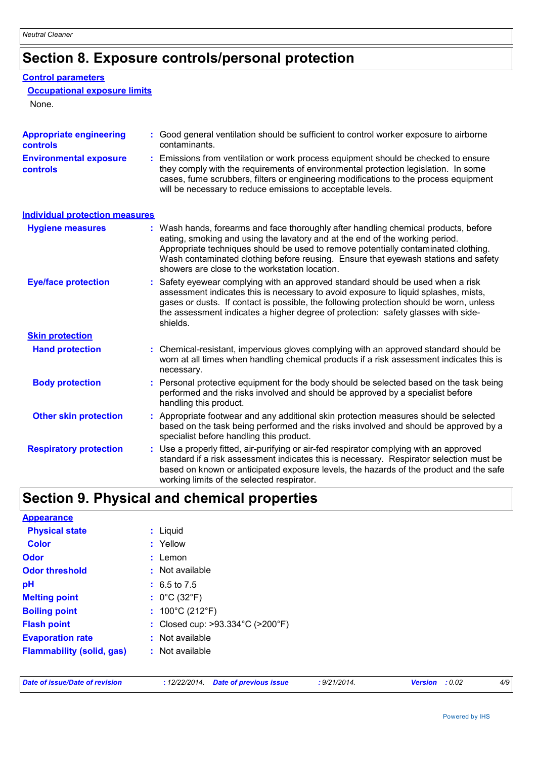# **Section 8. Exposure controls/personal protection**

### **Control parameters**

### **Occupational exposure limits**

None.

| <b>Appropriate engineering</b><br>controls | : Good general ventilation should be sufficient to control worker exposure to airborne<br>contaminants.                                                                                                                                                                                                                                                                                           |  |
|--------------------------------------------|---------------------------------------------------------------------------------------------------------------------------------------------------------------------------------------------------------------------------------------------------------------------------------------------------------------------------------------------------------------------------------------------------|--|
| <b>Environmental exposure</b><br>controls  | Emissions from ventilation or work process equipment should be checked to ensure<br>they comply with the requirements of environmental protection legislation. In some<br>cases, fume scrubbers, filters or engineering modifications to the process equipment<br>will be necessary to reduce emissions to acceptable levels.                                                                     |  |
| <b>Individual protection measures</b>      |                                                                                                                                                                                                                                                                                                                                                                                                   |  |
| <b>Hygiene measures</b>                    | : Wash hands, forearms and face thoroughly after handling chemical products, before<br>eating, smoking and using the lavatory and at the end of the working period.<br>Appropriate techniques should be used to remove potentially contaminated clothing.<br>Wash contaminated clothing before reusing. Ensure that eyewash stations and safety<br>showers are close to the workstation location. |  |
| <b>Eye/face protection</b>                 | Safety eyewear complying with an approved standard should be used when a risk<br>assessment indicates this is necessary to avoid exposure to liquid splashes, mists,<br>gases or dusts. If contact is possible, the following protection should be worn, unless<br>the assessment indicates a higher degree of protection: safety glasses with side-<br>shields.                                  |  |
| <b>Skin protection</b>                     |                                                                                                                                                                                                                                                                                                                                                                                                   |  |
| <b>Hand protection</b>                     | : Chemical-resistant, impervious gloves complying with an approved standard should be<br>worn at all times when handling chemical products if a risk assessment indicates this is<br>necessary.                                                                                                                                                                                                   |  |
| <b>Body protection</b>                     | Personal protective equipment for the body should be selected based on the task being<br>performed and the risks involved and should be approved by a specialist before<br>handling this product.                                                                                                                                                                                                 |  |
| <b>Other skin protection</b>               | : Appropriate footwear and any additional skin protection measures should be selected<br>based on the task being performed and the risks involved and should be approved by a<br>specialist before handling this product.                                                                                                                                                                         |  |
| <b>Respiratory protection</b>              | Use a properly fitted, air-purifying or air-fed respirator complying with an approved<br>standard if a risk assessment indicates this is necessary. Respirator selection must be<br>based on known or anticipated exposure levels, the hazards of the product and the safe<br>working limits of the selected respirator.                                                                          |  |

# **Section 9. Physical and chemical properties**

| <b>Appearance</b>                |                                      |
|----------------------------------|--------------------------------------|
| <b>Physical state</b>            | $:$ Liquid                           |
| <b>Color</b>                     | : Yellow                             |
| <b>Odor</b>                      | $:$ Lemon                            |
| <b>Odor threshold</b>            | : Not available                      |
| pH                               | $: 6.5 \text{ to } 7.5$              |
| <b>Melting point</b>             | : $0^{\circ}$ C (32 $^{\circ}$ F)    |
| <b>Boiling point</b>             | : $100^{\circ}$ C (212 $^{\circ}$ F) |
| <b>Flash point</b>               | : Closed cup: >93.334°C (>200°F)     |
| <b>Evaporation rate</b>          | $:$ Not available                    |
| <b>Flammability (solid, gas)</b> | : Not available                      |
|                                  |                                      |

| Date of issue/Date of revision |  |  |
|--------------------------------|--|--|
|--------------------------------|--|--|

*Date of issue/Date of revision* **:** *12/22/2014. Date of previous issue : 9/21/2014. Version : 0.02 4/9*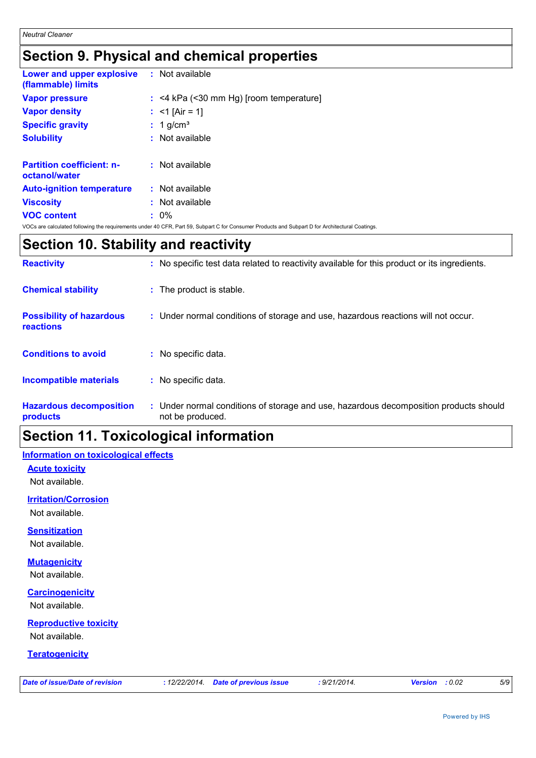# **Section 9. Physical and chemical properties**

| <b>Lower and upper explosive : Not available</b><br>(flammable) limits |                                                                                                                                                |
|------------------------------------------------------------------------|------------------------------------------------------------------------------------------------------------------------------------------------|
| <b>Vapor pressure</b>                                                  | $:$ <4 kPa (<30 mm Hg) [room temperature]                                                                                                      |
| <b>Vapor density</b>                                                   | : $<$ 1 [Air = 1]                                                                                                                              |
| <b>Specific gravity</b>                                                | $: 1$ g/cm <sup>3</sup>                                                                                                                        |
| <b>Solubility</b>                                                      | $:$ Not available                                                                                                                              |
| <b>Partition coefficient: n-</b><br>octanol/water                      | $:$ Not available                                                                                                                              |
| <b>Auto-ignition temperature</b>                                       | $:$ Not available                                                                                                                              |
| <b>Viscosity</b>                                                       | $:$ Not available                                                                                                                              |
| <b>VOC content</b>                                                     | $: 0\%$                                                                                                                                        |
|                                                                        | VOCs are calculated following the requirements under 40 CFR, Part 59, Subpart C for Consumer Products and Subpart D for Architectural Coatings |

### **Section 10. Stability and reactivity**

| <b>Reactivity</b>                                   | : No specific test data related to reactivity available for this product or its ingredients.              |
|-----------------------------------------------------|-----------------------------------------------------------------------------------------------------------|
| <b>Chemical stability</b>                           | : The product is stable.                                                                                  |
| <b>Possibility of hazardous</b><br><b>reactions</b> | : Under normal conditions of storage and use, hazardous reactions will not occur.                         |
| <b>Conditions to avoid</b>                          | : No specific data.                                                                                       |
| <b>Incompatible materials</b>                       | : No specific data.                                                                                       |
| <b>Hazardous decomposition</b><br>products          | : Under normal conditions of storage and use, hazardous decomposition products should<br>not be produced. |

### **Section 11. Toxicological information**

### **Information on toxicological effects**

**Acute toxicity** Not available.

**Irritation/Corrosion**

Not available.

#### **Sensitization**

Not available.

### **Mutagenicity**

Not available.

### **Carcinogenicity**

Not available.

### **Reproductive toxicity**

Not available.

#### **Teratogenicity**

|  |  | Date of issue/Date of revision |
|--|--|--------------------------------|
|--|--|--------------------------------|

*Date of issue/Date of revision* **:** *12/22/2014. Date of previous issue : 9/21/2014. Version : 0.02 5/9*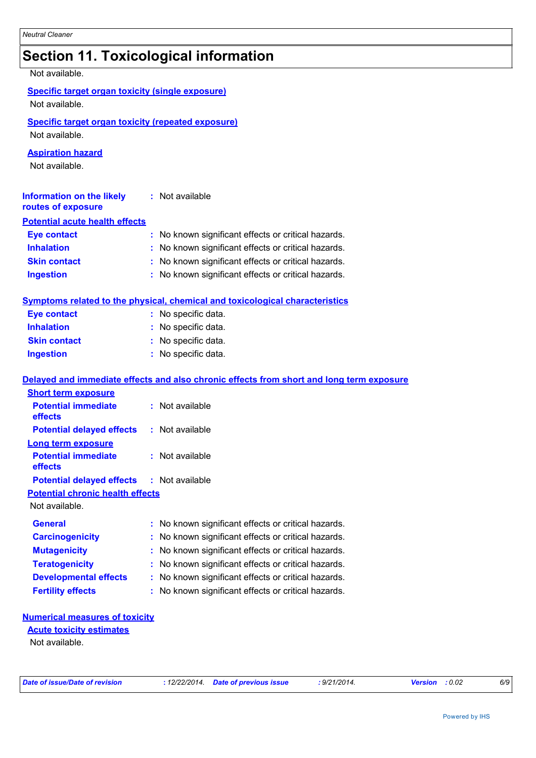# **Section 11. Toxicological information**

Not available.

### **Specific target organ toxicity (single exposure)**

Not available.

### **Specific target organ toxicity (repeated exposure)**

Not available.

### **Aspiration hazard**

Not available.

| <b>Information on the likely</b><br>routes of exposure | : Not available                                     |
|--------------------------------------------------------|-----------------------------------------------------|
| <b>Potential acute health effects</b>                  |                                                     |
| <b>Eye contact</b>                                     | : No known significant effects or critical hazards. |
| <b>Inhalation</b>                                      | : No known significant effects or critical hazards. |
| <b>Skin contact</b>                                    | : No known significant effects or critical hazards. |
| <b>Ingestion</b>                                       | : No known significant effects or critical hazards. |

### **Symptoms related to the physical, chemical and toxicological characteristics**

| <b>Eye contact</b>  | : No specific data. |
|---------------------|---------------------|
| <b>Inhalation</b>   | : No specific data. |
| <b>Skin contact</b> | : No specific data. |
| <b>Ingestion</b>    | : No specific data. |

### **Delayed and immediate effects and also chronic effects from short and long term exposure**

| <b>Short term exposure</b>                       |                                                     |
|--------------------------------------------------|-----------------------------------------------------|
| <b>Potential immediate</b><br><b>effects</b>     | : Not available                                     |
| <b>Potential delayed effects</b>                 | : Not available                                     |
| Long term exposure                               |                                                     |
| <b>Potential immediate</b><br><b>effects</b>     | : Not available                                     |
| <b>Potential delayed effects : Not available</b> |                                                     |
| <b>Potential chronic health effects</b>          |                                                     |
| Not available.                                   |                                                     |
| <b>General</b>                                   | : No known significant effects or critical hazards. |
| <b>Carcinogenicity</b>                           | : No known significant effects or critical hazards. |
| <b>Mutagenicity</b>                              | : No known significant effects or critical hazards. |
| <b>Teratogenicity</b>                            | : No known significant effects or critical hazards. |
| <b>Developmental effects</b>                     | : No known significant effects or critical hazards. |
| <b>Fertility effects</b>                         | : No known significant effects or critical hazards. |

#### **Numerical measures of toxicity**

#### Not available. **Acute toxicity estimates**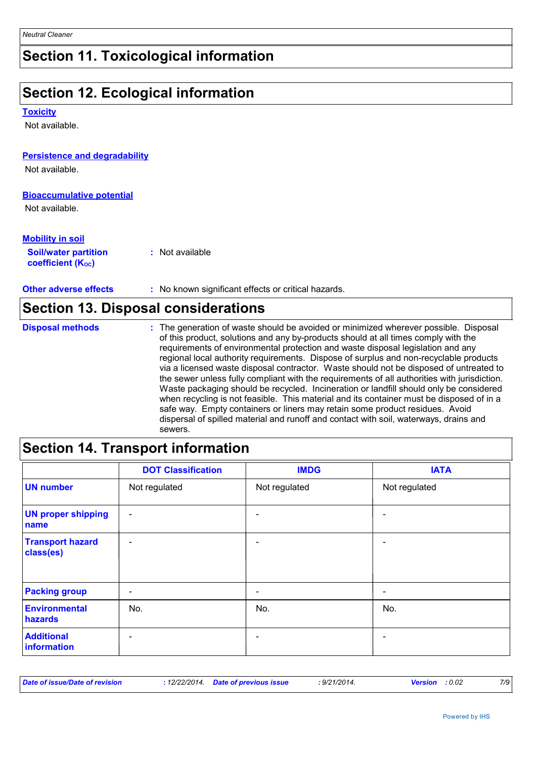# **Section 11. Toxicological information**

# **Section 12. Ecological information**

#### **Toxicity**

Not available.

### **Persistence and degradability**

Not available.

#### **Bioaccumulative potential**

Not available.

 $\mathsf{r}$ 

| <b>Mobility in soil</b>                               |                 |  |
|-------------------------------------------------------|-----------------|--|
| <b>Soil/water partition</b><br>coefficient $(K_{oc})$ | : Not available |  |

**Other adverse effects** : No known significant effects or critical hazards.

|                         | <b>Section 13. Disposal considerations</b>                                                                                                                                                                                                                                                                                                                                                                                                                                                                                                                                                                                                                                                                                                                                                                                                                                                                                 |
|-------------------------|----------------------------------------------------------------------------------------------------------------------------------------------------------------------------------------------------------------------------------------------------------------------------------------------------------------------------------------------------------------------------------------------------------------------------------------------------------------------------------------------------------------------------------------------------------------------------------------------------------------------------------------------------------------------------------------------------------------------------------------------------------------------------------------------------------------------------------------------------------------------------------------------------------------------------|
| <b>Disposal methods</b> | : The generation of waste should be avoided or minimized wherever possible. Disposal<br>of this product, solutions and any by-products should at all times comply with the<br>requirements of environmental protection and waste disposal legislation and any<br>regional local authority requirements. Dispose of surplus and non-recyclable products<br>via a licensed waste disposal contractor. Waste should not be disposed of untreated to<br>the sewer unless fully compliant with the requirements of all authorities with jurisdiction.<br>Waste packaging should be recycled. Incineration or landfill should only be considered<br>when recycling is not feasible. This material and its container must be disposed of in a<br>safe way. Empty containers or liners may retain some product residues. Avoid<br>dispersal of spilled material and runoff and contact with soil, waterways, drains and<br>sewers. |

# **Section 14. Transport information**

|                                      | <b>DOT Classification</b> | <b>IMDG</b>              | <b>IATA</b>              |
|--------------------------------------|---------------------------|--------------------------|--------------------------|
| <b>UN number</b>                     | Not regulated             | Not regulated            | Not regulated            |
| <b>UN proper shipping</b><br>name    | $\overline{\phantom{a}}$  |                          | -                        |
| <b>Transport hazard</b><br>class(es) | $\overline{\phantom{a}}$  |                          | $\blacksquare$           |
| <b>Packing group</b>                 | $\overline{\phantom{a}}$  | $\overline{\phantom{0}}$ | $\overline{\phantom{a}}$ |
| Environmental<br>hazards             | No.                       | No.                      | No.                      |
| <b>Additional</b><br>information     | $\overline{\phantom{0}}$  |                          |                          |

| Date of issue/Date of revision |  | : 12/22/2014. Date of previous issue | 9/21/2014. | <b>Version</b> : 0.02 | 7/9 |
|--------------------------------|--|--------------------------------------|------------|-----------------------|-----|
|--------------------------------|--|--------------------------------------|------------|-----------------------|-----|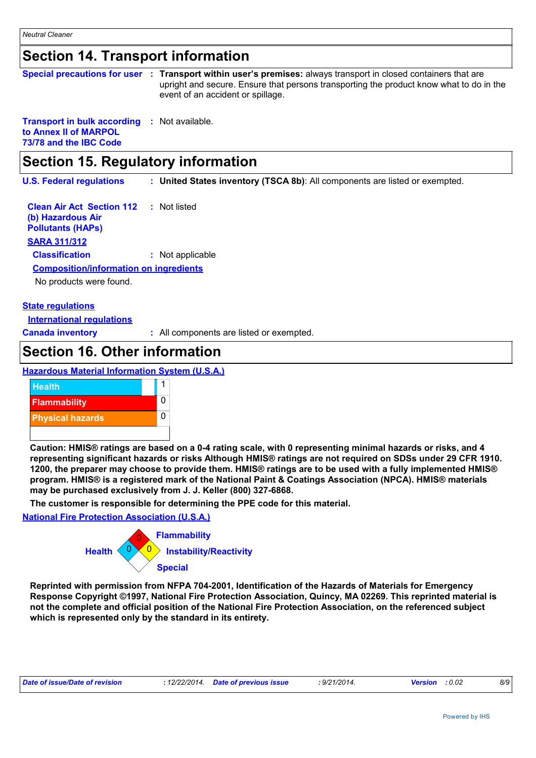### **Section 14. Transport information**

|                                                                                                        | Special precautions for user : Transport within user's premises: always transport in closed containers that are<br>upright and secure. Ensure that persons transporting the product know what to do in the<br>event of an accident or spillage. |
|--------------------------------------------------------------------------------------------------------|-------------------------------------------------------------------------------------------------------------------------------------------------------------------------------------------------------------------------------------------------|
| <b>Transport in bulk according : Not available.</b><br>to Annex II of MARPOL<br>73/78 and the IBC Code |                                                                                                                                                                                                                                                 |

### **Section 15. Regulatory information**

**U.S. Federal regulations : United States inventory (TSCA 8b)**: All components are listed or exempted.

**Clean Air Act Section 112 (b) Hazardous Air Pollutants (HAPs) :** Not listed **SARA 311/312 Classification :** Not applicable No products were found. **Composition/information on ingredients**

### **State regulations**

**International regulations**

**Canada inventory :** All components are listed or exempted.

### **Section 16. Other information**

**Hazardous Material Information System (U.S.A.)**



**Caution: HMIS® ratings are based on a 0-4 rating scale, with 0 representing minimal hazards or risks, and 4 representing significant hazards or risks Although HMIS® ratings are not required on SDSs under 29 CFR 1910. 1200, the preparer may choose to provide them. HMIS® ratings are to be used with a fully implemented HMIS® program. HMIS® is a registered mark of the National Paint & Coatings Association (NPCA). HMIS® materials may be purchased exclusively from J. J. Keller (800) 327-6868.**

**The customer is responsible for determining the PPE code for this material.**

**National Fire Protection Association (U.S.A.)**



**Reprinted with permission from NFPA 704-2001, Identification of the Hazards of Materials for Emergency Response Copyright ©1997, National Fire Protection Association, Quincy, MA 02269. This reprinted material is not the complete and official position of the National Fire Protection Association, on the referenced subject which is represented only by the standard in its entirety.**

| Date of issue/Date of revision | : 12/22/2014. Date of previous issue | : 9/21/2014. | <b>Version</b> : 0.02 | 8/9 |
|--------------------------------|--------------------------------------|--------------|-----------------------|-----|
|                                |                                      |              |                       |     |